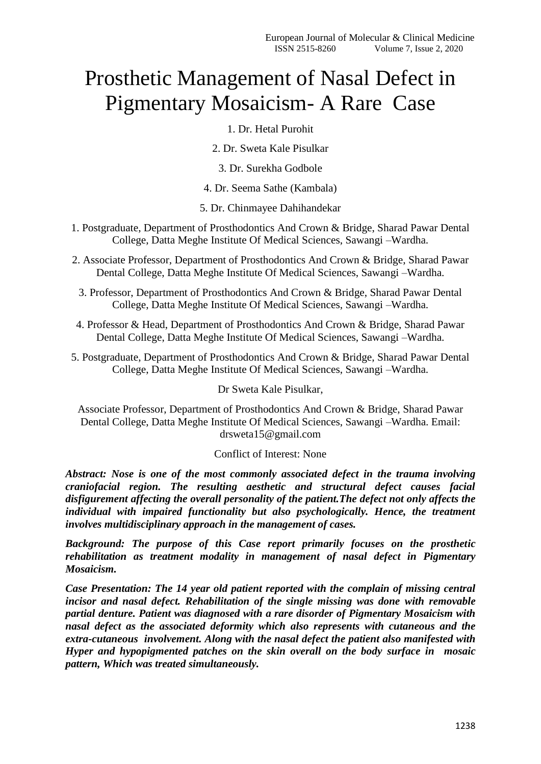# Prosthetic Management of Nasal Defect in Pigmentary Mosaicism- A Rare Case

1. Dr. Hetal Purohit

2. Dr. Sweta Kale Pisulkar

3. Dr. Surekha Godbole

4. Dr. Seema Sathe (Kambala)

5. Dr. Chinmayee Dahihandekar

- 1. Postgraduate, Department of Prosthodontics And Crown & Bridge, Sharad Pawar Dental College, Datta Meghe Institute Of Medical Sciences, Sawangi –Wardha.
- 2. Associate Professor, Department of Prosthodontics And Crown & Bridge, Sharad Pawar Dental College, Datta Meghe Institute Of Medical Sciences, Sawangi –Wardha.
	- 3. Professor, Department of Prosthodontics And Crown & Bridge, Sharad Pawar Dental College, Datta Meghe Institute Of Medical Sciences, Sawangi –Wardha.
- 4. Professor & Head, Department of Prosthodontics And Crown & Bridge, Sharad Pawar Dental College, Datta Meghe Institute Of Medical Sciences, Sawangi –Wardha.
- 5. Postgraduate, Department of Prosthodontics And Crown & Bridge, Sharad Pawar Dental College, Datta Meghe Institute Of Medical Sciences, Sawangi –Wardha.

## Dr Sweta Kale Pisulkar,

Associate Professor, Department of Prosthodontics And Crown & Bridge, Sharad Pawar Dental College, Datta Meghe Institute Of Medical Sciences, Sawangi –Wardha. Email: drsweta15@gmail.com

#### Conflict of Interest: None

*Abstract: Nose is one of the most commonly associated defect in the trauma involving craniofacial region. The resulting aesthetic and structural defect causes facial disfigurement affecting the overall personality of the patient.The defect not only affects the individual with impaired functionality but also psychologically. Hence, the treatment involves multidisciplinary approach in the management of cases.*

*Background: The purpose of this Case report primarily focuses on the prosthetic rehabilitation as treatment modality in management of nasal defect in Pigmentary Mosaicism.* 

*Case Presentation: The 14 year old patient reported with the complain of missing central incisor and nasal defect. Rehabilitation of the single missing was done with removable partial denture. Patient was diagnosed with a rare disorder of Pigmentary Mosaicism with nasal defect as the associated deformity which also represents with cutaneous and the extra-cutaneous involvement. Along with the nasal defect the patient also manifested with Hyper and hypopigmented patches on the skin overall on the body surface in mosaic pattern, Which was treated simultaneously.*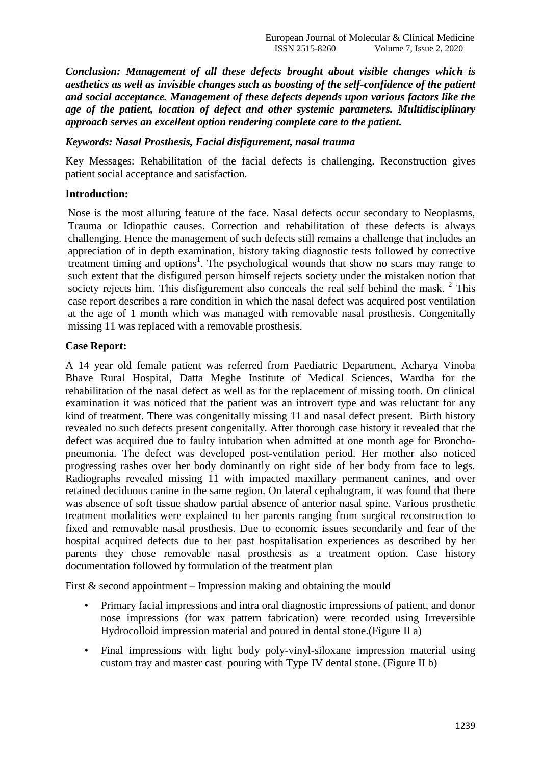*Conclusion: Management of all these defects brought about visible changes which is aesthetics as well as invisible changes such as boosting of the self-confidence of the patient and social acceptance. Management of these defects depends upon various factors like the age of the patient, location of defect and other systemic parameters. Multidisciplinary approach serves an excellent option rendering complete care to the patient.*

#### *Keywords: Nasal Prosthesis, Facial disfigurement, nasal trauma*

Key Messages: Rehabilitation of the facial defects is challenging. Reconstruction gives patient social acceptance and satisfaction.

#### **Introduction:**

Nose is the most alluring feature of the face. Nasal defects occur secondary to Neoplasms, Trauma or Idiopathic causes. Correction and rehabilitation of these defects is always challenging. Hence the management of such defects still remains a challenge that includes an appreciation of in depth examination, history taking diagnostic tests followed by corrective treatment timing and options<sup>1</sup>. The psychological wounds that show no scars may range to such extent that the disfigured person himself rejects society under the mistaken notion that society rejects him. This disfigurement also conceals the real self behind the mask.  $2$  This case report describes a rare condition in which the nasal defect was acquired post ventilation at the age of 1 month which was managed with removable nasal prosthesis. Congenitally missing 11 was replaced with a removable prosthesis.

#### **Case Report:**

A 14 year old female patient was referred from Paediatric Department, Acharya Vinoba Bhave Rural Hospital, Datta Meghe Institute of Medical Sciences, Wardha for the rehabilitation of the nasal defect as well as for the replacement of missing tooth. On clinical examination it was noticed that the patient was an introvert type and was reluctant for any kind of treatment. There was congenitally missing 11 and nasal defect present. Birth history revealed no such defects present congenitally. After thorough case history it revealed that the defect was acquired due to faulty intubation when admitted at one month age for Bronchopneumonia. The defect was developed post-ventilation period. Her mother also noticed progressing rashes over her body dominantly on right side of her body from face to legs. Radiographs revealed missing 11 with impacted maxillary permanent canines, and over retained deciduous canine in the same region. On lateral cephalogram, it was found that there was absence of soft tissue shadow partial absence of anterior nasal spine. Various prosthetic treatment modalities were explained to her parents ranging from surgical reconstruction to fixed and removable nasal prosthesis. Due to economic issues secondarily and fear of the hospital acquired defects due to her past hospitalisation experiences as described by her parents they chose removable nasal prosthesis as a treatment option. Case history documentation followed by formulation of the treatment plan

First  $\&$  second appointment – Impression making and obtaining the mould

- Primary facial impressions and intra oral diagnostic impressions of patient, and donor nose impressions (for wax pattern fabrication) were recorded using Irreversible Hydrocolloid impression material and poured in dental stone.(Figure II a)
- Final impressions with light body poly-vinyl-siloxane impression material using custom tray and master cast pouring with Type IV dental stone. (Figure II b)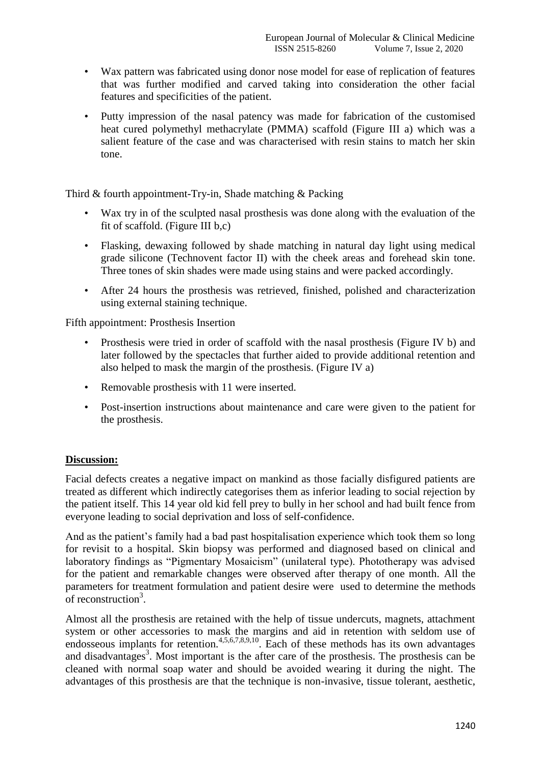- Wax pattern was fabricated using donor nose model for ease of replication of features that was further modified and carved taking into consideration the other facial features and specificities of the patient.
- Putty impression of the nasal patency was made for fabrication of the customised heat cured polymethyl methacrylate (PMMA) scaffold (Figure III a) which was a salient feature of the case and was characterised with resin stains to match her skin tone.

Third & fourth appointment-Try-in, Shade matching & Packing

- Wax try in of the sculpted nasal prosthesis was done along with the evaluation of the fit of scaffold. (Figure III b,c)
- Flasking, dewaxing followed by shade matching in natural day light using medical grade silicone (Technovent factor II) with the cheek areas and forehead skin tone. Three tones of skin shades were made using stains and were packed accordingly.
- After 24 hours the prosthesis was retrieved, finished, polished and characterization using external staining technique.

Fifth appointment: Prosthesis Insertion

- Prosthesis were tried in order of scaffold with the nasal prosthesis (Figure IV b) and later followed by the spectacles that further aided to provide additional retention and also helped to mask the margin of the prosthesis. (Figure IV a)
- Removable prosthesis with 11 were inserted.
- Post-insertion instructions about maintenance and care were given to the patient for the prosthesis.

# **Discussion:**

Facial defects creates a negative impact on mankind as those facially disfigured patients are treated as different which indirectly categorises them as inferior leading to social rejection by the patient itself. This 14 year old kid fell prey to bully in her school and had built fence from everyone leading to social deprivation and loss of self-confidence.

And as the patient's family had a bad past hospitalisation experience which took them so long for revisit to a hospital. Skin biopsy was performed and diagnosed based on clinical and laboratory findings as "Pigmentary Mosaicism" (unilateral type). Phototherapy was advised for the patient and remarkable changes were observed after therapy of one month. All the parameters for treatment formulation and patient desire were used to determine the methods of reconstruction<sup>3</sup>.

Almost all the prosthesis are retained with the help of tissue undercuts, magnets, attachment system or other accessories to mask the margins and aid in retention with seldom use of endosseous implants for retention.<sup>4,5,6,7,8,9,10</sup>. Each of these methods has its own advantages and disadvantages<sup>3</sup>. Most important is the after care of the prosthesis. The prosthesis can be cleaned with normal soap water and should be avoided wearing it during the night. The advantages of this prosthesis are that the technique is non-invasive, tissue tolerant, aesthetic,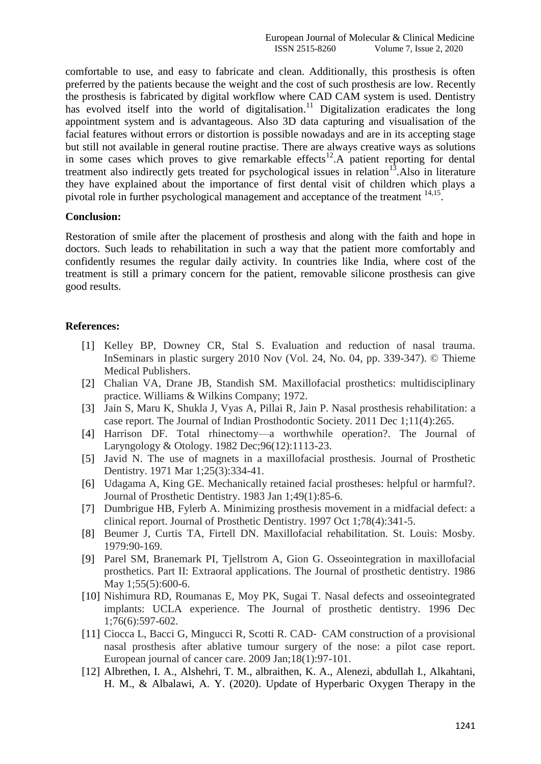comfortable to use, and easy to fabricate and clean. Additionally, this prosthesis is often preferred by the patients because the weight and the cost of such prosthesis are low. Recently the prosthesis is fabricated by digital workflow where CAD CAM system is used. Dentistry has evolved itself into the world of digitalisation.<sup>11</sup> Digitalization eradicates the long appointment system and is advantageous. Also 3D data capturing and visualisation of the facial features without errors or distortion is possible nowadays and are in its accepting stage but still not available in general routine practise. There are always creative ways as solutions in some cases which proves to give remarkable effects<sup>12</sup>. A patient reporting for dental treatment also indirectly gets treated for psychological issues in relation $13$ . Also in literature they have explained about the importance of first dental visit of children which plays a pivotal role in further psychological management and acceptance of the treatment <sup>14,15</sup>.

## **Conclusion:**

Restoration of smile after the placement of prosthesis and along with the faith and hope in doctors. Such leads to rehabilitation in such a way that the patient more comfortably and confidently resumes the regular daily activity. In countries like India, where cost of the treatment is still a primary concern for the patient, removable silicone prosthesis can give good results.

## **References:**

- [1] Kelley BP, Downey CR, Stal S. Evaluation and reduction of nasal trauma. InSeminars in plastic surgery 2010 Nov (Vol. 24, No. 04, pp. 339-347). © Thieme Medical Publishers.
- [2] Chalian VA, Drane JB, Standish SM. Maxillofacial prosthetics: multidisciplinary practice. Williams & Wilkins Company; 1972.
- [3] Jain S, Maru K, Shukla J, Vyas A, Pillai R, Jain P. Nasal prosthesis rehabilitation: a case report. The Journal of Indian Prosthodontic Society. 2011 Dec 1;11(4):265.
- [4] Harrison DF. Total rhinectomy—a worthwhile operation?. The Journal of Laryngology & Otology. 1982 Dec;96(12):1113-23.
- [5] Javid N. The use of magnets in a maxillofacial prosthesis. Journal of Prosthetic Dentistry. 1971 Mar 1;25(3):334-41.
- [6] Udagama A, King GE. Mechanically retained facial prostheses: helpful or harmful?. Journal of Prosthetic Dentistry. 1983 Jan 1;49(1):85-6.
- [7] Dumbrigue HB, Fylerb A. Minimizing prosthesis movement in a midfacial defect: a clinical report. Journal of Prosthetic Dentistry. 1997 Oct 1;78(4):341-5.
- [8] Beumer J, Curtis TA, Firtell DN. Maxillofacial rehabilitation. St. Louis: Mosby. 1979:90-169.
- [9] Parel SM, Branemark PI, Tjellstrom A, Gion G. Osseointegration in maxillofacial prosthetics. Part II: Extraoral applications. The Journal of prosthetic dentistry. 1986 May 1;55(5):600-6.
- [10] Nishimura RD, Roumanas E, Moy PK, Sugai T. Nasal defects and osseointegrated implants: UCLA experience. The Journal of prosthetic dentistry. 1996 Dec 1;76(6):597-602.
- [11] Ciocca L, Bacci G, Mingucci R, Scotti R. CAD‐ CAM construction of a provisional nasal prosthesis after ablative tumour surgery of the nose: a pilot case report. European journal of cancer care. 2009 Jan;18(1):97-101.
- [12] Albrethen, I. A., Alshehri, T. M., albraithen, K. A., Alenezi, abdullah I., Alkahtani, H. M., & Albalawi, A. Y. (2020). Update of Hyperbaric Oxygen Therapy in the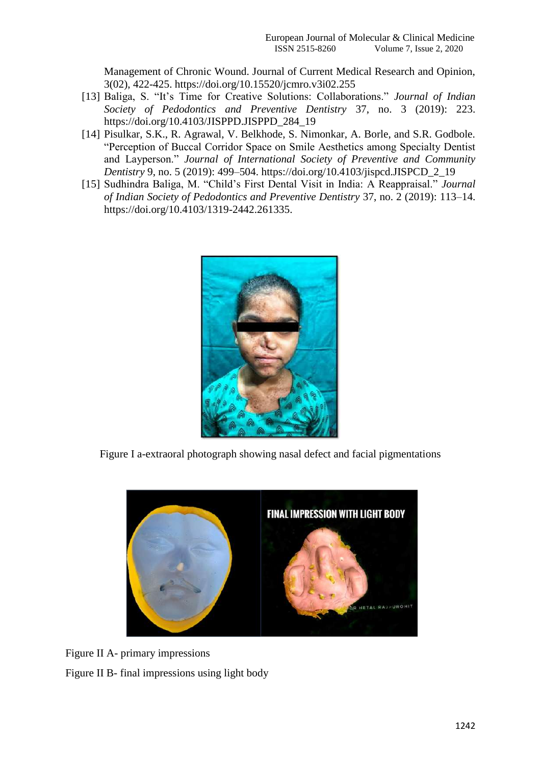Management of Chronic Wound. Journal of Current Medical Research and Opinion, 3(02), 422-425. https://doi.org/10.15520/jcmro.v3i02.255

- [13] Baliga, S. "It's Time for Creative Solutions: Collaborations." *Journal of Indian Society of Pedodontics and Preventive Dentistry* 37, no. 3 (2019): 223. https://doi.org/10.4103/JISPPD.JISPPD\_284\_19
- [14] Pisulkar, S.K., R. Agrawal, V. Belkhode, S. Nimonkar, A. Borle, and S.R. Godbole. ―Perception of Buccal Corridor Space on Smile Aesthetics among Specialty Dentist and Layperson." *Journal of International Society of Preventive and Community Dentistry* 9, no. 5 (2019): 499–504. https://doi.org/10.4103/jispcd.JISPCD\_2\_19
- [15] Sudhindra Baliga, M. "Child's First Dental Visit in India: A Reappraisal." *Journal of Indian Society of Pedodontics and Preventive Dentistry* 37, no. 2 (2019): 113–14. https://doi.org/10.4103/1319-2442.261335.



Figure I a-extraoral photograph showing nasal defect and facial pigmentations



Figure II A- primary impressions Figure II B- final impressions using light body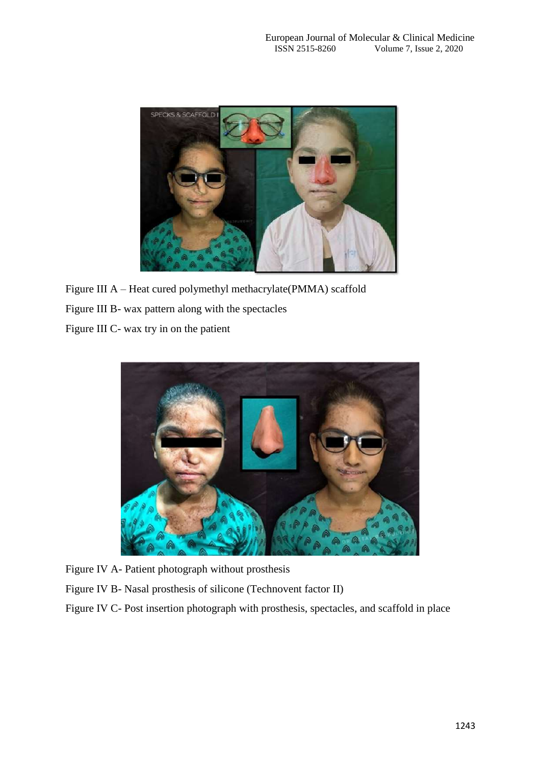

Figure III A – Heat cured polymethyl methacrylate(PMMA) scaffold Figure III B- wax pattern along with the spectacles

Figure III C- wax try in on the patient



Figure IV A- Patient photograph without prosthesis

Figure IV B- Nasal prosthesis of silicone (Technovent factor II)

Figure IV C- Post insertion photograph with prosthesis, spectacles, and scaffold in place